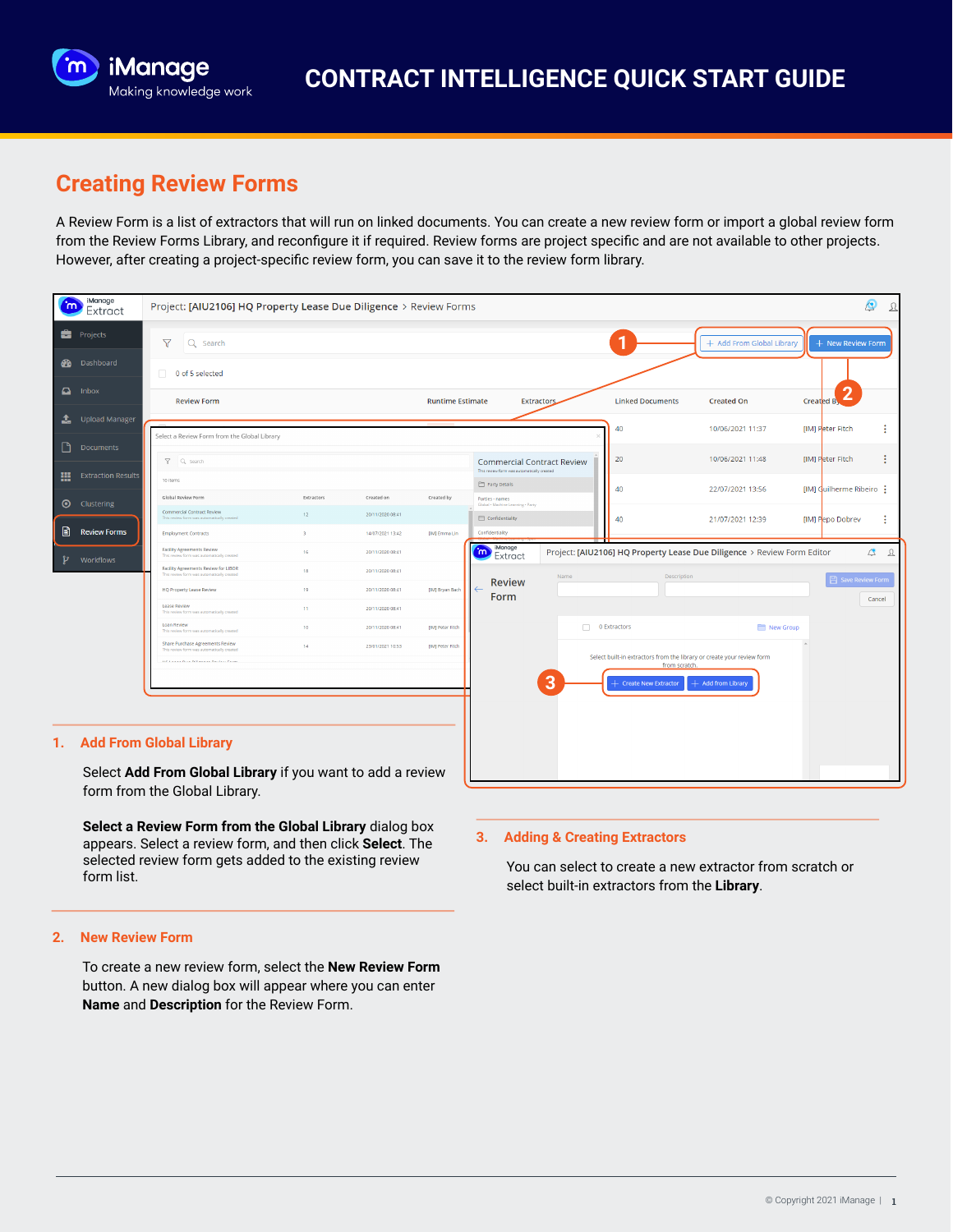

# **Creating Review Forms**

A Review Form is a list of extractors that will run on linked documents. You can create a new review form or import a global review form from the Review Forms Library, and reconfigure it if required. Review forms are project specific and are not available to other projects. However, after creating a project-specific review form, you can save it to the review form library.

| m | iManage<br>Extract        | Project: [AIU2106] HQ Property Lease Due Diligence > Review Forms                              |                               |                                |                         |                                                                         |                   |                                                                         |                           | $\circledcirc$<br>$\mathfrak A$ |
|---|---------------------------|------------------------------------------------------------------------------------------------|-------------------------------|--------------------------------|-------------------------|-------------------------------------------------------------------------|-------------------|-------------------------------------------------------------------------|---------------------------|---------------------------------|
|   | <b>Projects</b>           | $\triangledown$<br>Q Search                                                                    |                               |                                |                         |                                                                         |                   | 1                                                                       | + Add From Global Library | + New Review Form               |
|   | <b>20</b> Dashboard       | O of 5 selected                                                                                |                               |                                |                         |                                                                         |                   |                                                                         |                           |                                 |
|   | $\Box$ Inbox              | <b>Review Form</b>                                                                             |                               |                                | <b>Runtime Estimate</b> |                                                                         | <b>Extractors</b> | <b>Linked Documents</b>                                                 | <b>Created On</b>         | 2<br>Created By                 |
| ı | Upload Manager            | Select a Review Form from the Global Library                                                   |                               |                                |                         |                                                                         |                   | 40                                                                      | 10/06/2021 11:37          | [IM] Peter Fitch                |
| ▯ | <b>Documents</b>          | <b>Y</b> Q Search                                                                              |                               |                                |                         | <b>Commercial Contract Review</b>                                       |                   | 20                                                                      | 10/06/2021 11:48          | ŧ<br>[IM] Peter Fitch           |
| æ | <b>Extraction Results</b> | 10 items                                                                                       |                               |                                |                         | This review form was automatically created<br>Party Details             |                   | 40                                                                      | 22/07/2021 13:56          | [IM] Cuilherme Ribeiro :        |
|   | <b>O</b> Clustering       | Global Review Form<br>Commercial Contract Review<br>This review form was automatically created | Extractors<br>12 <sup>7</sup> | Created on<br>20/11/2020 08:41 | Created by              | Parties - names<br>Global . Machine Learning . Party<br>Confidentiality |                   | 40                                                                      | 21/07/2021 12:39          | ÷<br>[IM] Pepo Dobrev           |
| B | <b>Review Forms</b>       | <b>Employment Contracts</b>                                                                    | $\mathbf{B}$                  | 14/07/2021 13:42               | [IM] Emma Lin           | Confidentiality                                                         |                   |                                                                         |                           |                                 |
| ν | Workflows                 | <b>Facility Agreements Review</b><br>This review form was automatically created                | 16                            | 20/11/2020 08:41               |                         | iManage<br>$\mathbf{m}$<br>Extract                                      |                   | Project: [AIU2106] HQ Property Lease Due Diligence > Review Form Editor |                           | $\Delta$ $\Omega$               |
|   |                           | Facility Agreements Review for LIBOR<br>This review form was automatically created             | 18                            | 20/11/2020 08:41               |                         |                                                                         | Name              | Description                                                             |                           | <b>日 Save Review Form</b>       |
|   |                           | <b>HQ Property Lease Review</b>                                                                | 19                            | 20/11/2020 08:41               | [IM] Bryan Bach         | <b>Review</b><br>Form                                                   |                   |                                                                         |                           | Cancel                          |
|   |                           | Lease Review<br>This review form was automatically created                                     | 11                            | 20/11/2020 08:41               |                         |                                                                         |                   |                                                                         |                           |                                 |
|   |                           | Loan Review<br>This review form was automatically created                                      | 10 <sub>10</sub>              | 20/11/2020 08:41               | [IM] Peter Fitch        |                                                                         |                   | $\Box$ 0 Extractors                                                     | New Group                 |                                 |
|   |                           | Share Purchase Agreements Review<br>This review form was automatically created                 | 14                            | 23/01/2021 10:53               | [IM] Peter Fitch        |                                                                         |                   | Select built-in extractors from the library or create your review form  |                           |                                 |
|   |                           | <b>In Canada Book Publication Production</b>                                                   | from scratch.                 |                                |                         |                                                                         |                   |                                                                         |                           |                                 |
|   |                           |                                                                                                |                               |                                |                         |                                                                         | $\overline{3}$    | - Create New Extractor                                                  | $+$ Add from Library      |                                 |
|   |                           |                                                                                                |                               |                                |                         |                                                                         |                   |                                                                         |                           |                                 |
|   |                           |                                                                                                |                               |                                |                         |                                                                         |                   |                                                                         |                           |                                 |
|   |                           | 1. Add From Global Library                                                                     |                               |                                |                         |                                                                         |                   |                                                                         |                           |                                 |
|   |                           |                                                                                                | $\cdot$ $\cdot$               | . .                            |                         |                                                                         |                   |                                                                         |                           |                                 |

Select **Add From Global Library** if you want to add a review form from the Global Library.

**Select a Review Form from the Global Library** dialog box appears. Select a review form, and then click **Select**. The selected review form gets added to the existing review form list.

## **2. New Review Form**

To create a new review form, select the **New Review Form** button. A new dialog box will appear where you can enter **Name** and **Description** for the Review Form.

### **3. Adding & Creating Extractors**

You can select to create a new extractor from scratch or select built-in extractors from the **Library**.